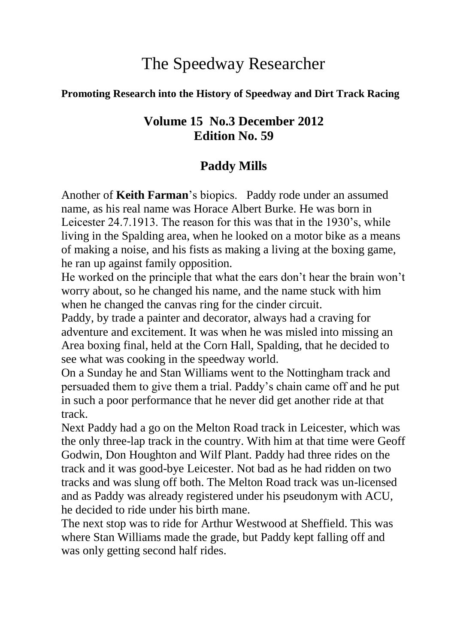# The Speedway Researcher

#### **Promoting Research into the History of Speedway and Dirt Track Racing**

#### **Volume 15 No.3 December 2012 Edition No. 59**

#### **Paddy Mills**

Another of **Keith Farman**'s biopics. Paddy rode under an assumed name, as his real name was Horace Albert Burke. He was born in Leicester 24.7.1913. The reason for this was that in the 1930's, while living in the Spalding area, when he looked on a motor bike as a means of making a noise, and his fists as making a living at the boxing game, he ran up against family opposition.

He worked on the principle that what the ears don't hear the brain won't worry about, so he changed his name, and the name stuck with him when he changed the canvas ring for the cinder circuit.

Paddy, by trade a painter and decorator, always had a craving for adventure and excitement. It was when he was misled into missing an Area boxing final, held at the Corn Hall, Spalding, that he decided to see what was cooking in the speedway world.

On a Sunday he and Stan Williams went to the Nottingham track and persuaded them to give them a trial. Paddy's chain came off and he put in such a poor performance that he never did get another ride at that track.

Next Paddy had a go on the Melton Road track in Leicester, which was the only three-lap track in the country. With him at that time were Geoff Godwin, Don Houghton and Wilf Plant. Paddy had three rides on the track and it was good-bye Leicester. Not bad as he had ridden on two tracks and was slung off both. The Melton Road track was un-licensed and as Paddy was already registered under his pseudonym with ACU, he decided to ride under his birth mane.

The next stop was to ride for Arthur Westwood at Sheffield. This was where Stan Williams made the grade, but Paddy kept falling off and was only getting second half rides.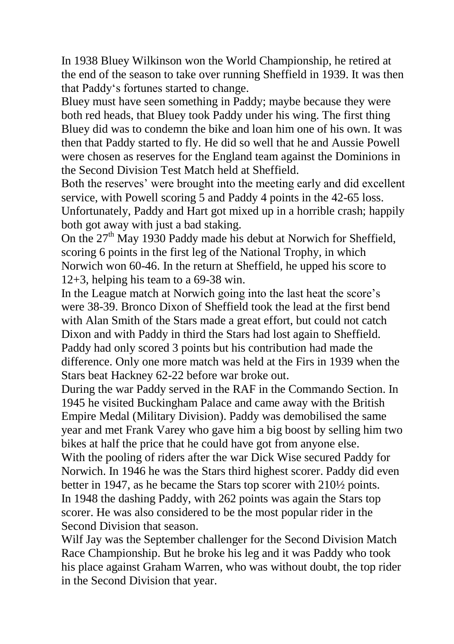In 1938 Bluey Wilkinson won the World Championship, he retired at the end of the season to take over running Sheffield in 1939. It was then that Paddy's fortunes started to change.

Bluey must have seen something in Paddy; maybe because they were both red heads, that Bluey took Paddy under his wing. The first thing Bluey did was to condemn the bike and loan him one of his own. It was then that Paddy started to fly. He did so well that he and Aussie Powell were chosen as reserves for the England team against the Dominions in the Second Division Test Match held at Sheffield.

Both the reserves' were brought into the meeting early and did excellent service, with Powell scoring 5 and Paddy 4 points in the 42-65 loss. Unfortunately, Paddy and Hart got mixed up in a horrible crash; happily both got away with just a bad staking.

On the  $27<sup>th</sup>$  May 1930 Paddy made his debut at Norwich for Sheffield, scoring 6 points in the first leg of the National Trophy, in which Norwich won 60-46. In the return at Sheffield, he upped his score to 12+3, helping his team to a 69-38 win.

In the League match at Norwich going into the last heat the score's were 38-39. Bronco Dixon of Sheffield took the lead at the first bend with Alan Smith of the Stars made a great effort, but could not catch Dixon and with Paddy in third the Stars had lost again to Sheffield. Paddy had only scored 3 points but his contribution had made the difference. Only one more match was held at the Firs in 1939 when the Stars beat Hackney 62-22 before war broke out.

During the war Paddy served in the RAF in the Commando Section. In 1945 he visited Buckingham Palace and came away with the British Empire Medal (Military Division). Paddy was demobilised the same year and met Frank Varey who gave him a big boost by selling him two bikes at half the price that he could have got from anyone else. With the pooling of riders after the war Dick Wise secured Paddy for Norwich. In 1946 he was the Stars third highest scorer. Paddy did even better in 1947, as he became the Stars top scorer with 210½ points. In 1948 the dashing Paddy, with 262 points was again the Stars top scorer. He was also considered to be the most popular rider in the Second Division that season.

Wilf Jay was the September challenger for the Second Division Match Race Championship. But he broke his leg and it was Paddy who took his place against Graham Warren, who was without doubt, the top rider in the Second Division that year.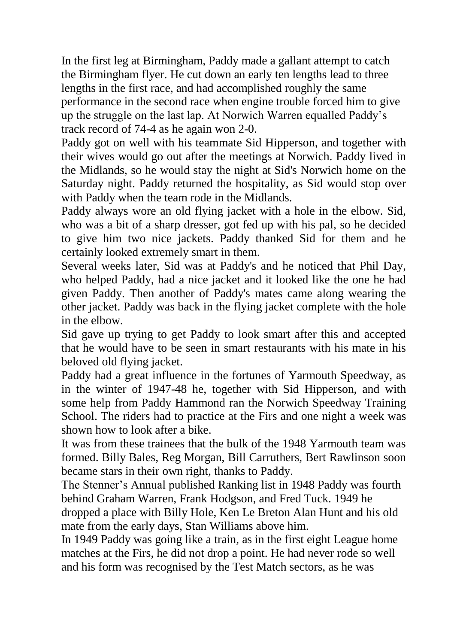In the first leg at Birmingham, Paddy made a gallant attempt to catch the Birmingham flyer. He cut down an early ten lengths lead to three lengths in the first race, and had accomplished roughly the same performance in the second race when engine trouble forced him to give up the struggle on the last lap. At Norwich Warren equalled Paddy's track record of 74-4 as he again won 2-0.

Paddy got on well with his teammate Sid Hipperson, and together with their wives would go out after the meetings at Norwich. Paddy lived in the Midlands, so he would stay the night at Sid's Norwich home on the Saturday night. Paddy returned the hospitality, as Sid would stop over with Paddy when the team rode in the Midlands.

Paddy always wore an old flying jacket with a hole in the elbow. Sid, who was a bit of a sharp dresser, got fed up with his pal, so he decided to give him two nice jackets. Paddy thanked Sid for them and he certainly looked extremely smart in them.

Several weeks later, Sid was at Paddy's and he noticed that Phil Day, who helped Paddy, had a nice jacket and it looked like the one he had given Paddy. Then another of Paddy's mates came along wearing the other jacket. Paddy was back in the flying jacket complete with the hole in the elbow.

Sid gave up trying to get Paddy to look smart after this and accepted that he would have to be seen in smart restaurants with his mate in his beloved old flying jacket.

Paddy had a great influence in the fortunes of Yarmouth Speedway, as in the winter of 1947-48 he, together with Sid Hipperson, and with some help from Paddy Hammond ran the Norwich Speedway Training School. The riders had to practice at the Firs and one night a week was shown how to look after a bike.

It was from these trainees that the bulk of the 1948 Yarmouth team was formed. Billy Bales, Reg Morgan, Bill Carruthers, Bert Rawlinson soon became stars in their own right, thanks to Paddy.

The Stenner's Annual published Ranking list in 1948 Paddy was fourth behind Graham Warren, Frank Hodgson, and Fred Tuck. 1949 he dropped a place with Billy Hole, Ken Le Breton Alan Hunt and his old mate from the early days, Stan Williams above him.

In 1949 Paddy was going like a train, as in the first eight League home matches at the Firs, he did not drop a point. He had never rode so well and his form was recognised by the Test Match sectors, as he was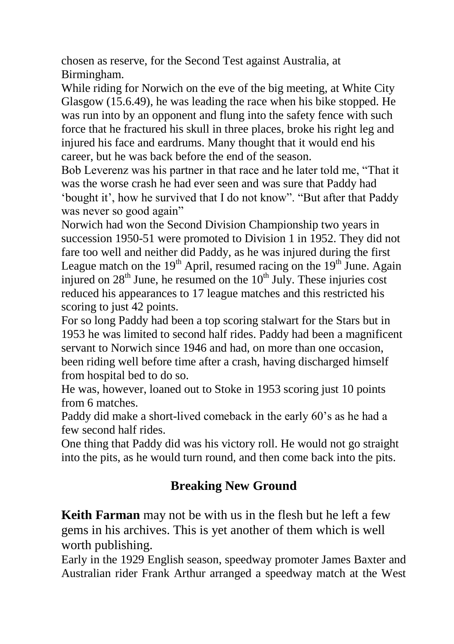chosen as reserve, for the Second Test against Australia, at Birmingham.

While riding for Norwich on the eve of the big meeting, at White City Glasgow (15.6.49), he was leading the race when his bike stopped. He was run into by an opponent and flung into the safety fence with such force that he fractured his skull in three places, broke his right leg and injured his face and eardrums. Many thought that it would end his career, but he was back before the end of the season.

Bob Leverenz was his partner in that race and he later told me, "That it was the worse crash he had ever seen and was sure that Paddy had 'bought it', how he survived that I do not know". "But after that Paddy was never so good again"

Norwich had won the Second Division Championship two years in succession 1950-51 were promoted to Division 1 in 1952. They did not fare too well and neither did Paddy, as he was injured during the first League match on the  $19<sup>th</sup>$  April, resumed racing on the  $19<sup>th</sup>$  June. Again injured on  $28<sup>th</sup>$  June, he resumed on the  $10<sup>th</sup>$  July. These injuries cost reduced his appearances to 17 league matches and this restricted his scoring to just 42 points.

For so long Paddy had been a top scoring stalwart for the Stars but in 1953 he was limited to second half rides. Paddy had been a magnificent servant to Norwich since 1946 and had, on more than one occasion, been riding well before time after a crash, having discharged himself from hospital bed to do so.

He was, however, loaned out to Stoke in 1953 scoring just 10 points from 6 matches.

Paddy did make a short-lived comeback in the early 60's as he had a few second half rides.

One thing that Paddy did was his victory roll. He would not go straight into the pits, as he would turn round, and then come back into the pits.

# **Breaking New Ground**

**Keith Farman** may not be with us in the flesh but he left a few gems in his archives. This is yet another of them which is well worth publishing.

Early in the 1929 English season, speedway promoter James Baxter and Australian rider Frank Arthur arranged a speedway match at the West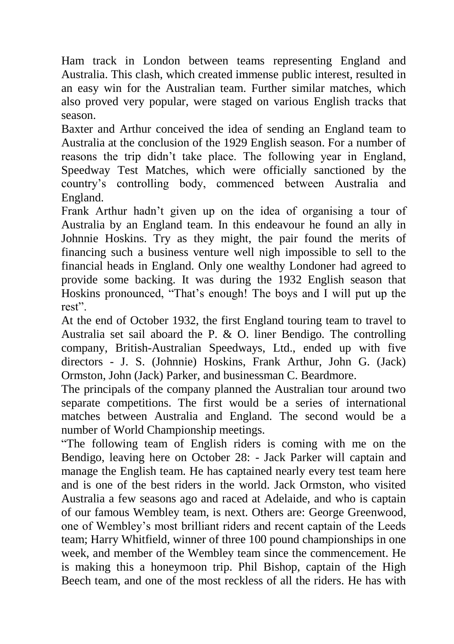Ham track in London between teams representing England and Australia. This clash, which created immense public interest, resulted in an easy win for the Australian team. Further similar matches, which also proved very popular, were staged on various English tracks that season.

Baxter and Arthur conceived the idea of sending an England team to Australia at the conclusion of the 1929 English season. For a number of reasons the trip didn't take place. The following year in England, Speedway Test Matches, which were officially sanctioned by the country's controlling body, commenced between Australia and England.

Frank Arthur hadn't given up on the idea of organising a tour of Australia by an England team. In this endeavour he found an ally in Johnnie Hoskins. Try as they might, the pair found the merits of financing such a business venture well nigh impossible to sell to the financial heads in England. Only one wealthy Londoner had agreed to provide some backing. It was during the 1932 English season that Hoskins pronounced, "That's enough! The boys and I will put up the rest".

At the end of October 1932, the first England touring team to travel to Australia set sail aboard the P. & O. liner Bendigo. The controlling company, British-Australian Speedways, Ltd., ended up with five directors - J. S. (Johnnie) Hoskins, Frank Arthur, John G. (Jack) Ormston, John (Jack) Parker, and businessman C. Beardmore.

The principals of the company planned the Australian tour around two separate competitions. The first would be a series of international matches between Australia and England. The second would be a number of World Championship meetings.

"The following team of English riders is coming with me on the Bendigo, leaving here on October 28: - Jack Parker will captain and manage the English team. He has captained nearly every test team here and is one of the best riders in the world. Jack Ormston, who visited Australia a few seasons ago and raced at Adelaide, and who is captain of our famous Wembley team, is next. Others are: George Greenwood, one of Wembley's most brilliant riders and recent captain of the Leeds team; Harry Whitfield, winner of three 100 pound championships in one week, and member of the Wembley team since the commencement. He is making this a honeymoon trip. Phil Bishop, captain of the High Beech team, and one of the most reckless of all the riders. He has with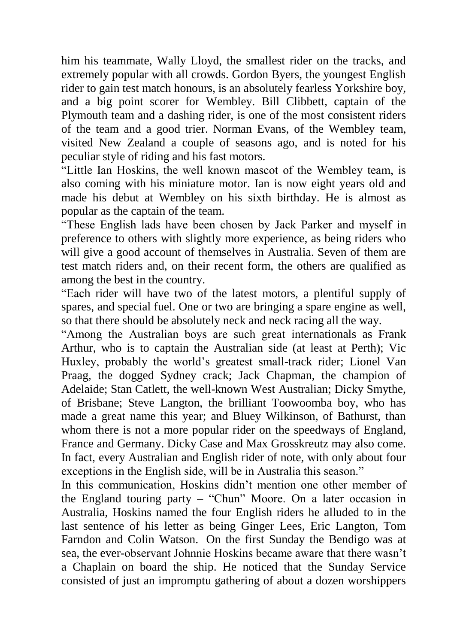him his teammate, Wally Lloyd, the smallest rider on the tracks, and extremely popular with all crowds. Gordon Byers, the youngest English rider to gain test match honours, is an absolutely fearless Yorkshire boy, and a big point scorer for Wembley. Bill Clibbett, captain of the Plymouth team and a dashing rider, is one of the most consistent riders of the team and a good trier. Norman Evans, of the Wembley team, visited New Zealand a couple of seasons ago, and is noted for his peculiar style of riding and his fast motors.

"Little Ian Hoskins, the well known mascot of the Wembley team, is also coming with his miniature motor. Ian is now eight years old and made his debut at Wembley on his sixth birthday. He is almost as popular as the captain of the team.

"These English lads have been chosen by Jack Parker and myself in preference to others with slightly more experience, as being riders who will give a good account of themselves in Australia. Seven of them are test match riders and, on their recent form, the others are qualified as among the best in the country.

"Each rider will have two of the latest motors, a plentiful supply of spares, and special fuel. One or two are bringing a spare engine as well, so that there should be absolutely neck and neck racing all the way.

"Among the Australian boys are such great internationals as Frank Arthur, who is to captain the Australian side (at least at Perth); Vic Huxley, probably the world's greatest small-track rider; Lionel Van Praag, the dogged Sydney crack; Jack Chapman, the champion of Adelaide; Stan Catlett, the well-known West Australian; Dicky Smythe, of Brisbane; Steve Langton, the brilliant Toowoomba boy, who has made a great name this year; and Bluey Wilkinson, of Bathurst, than whom there is not a more popular rider on the speedways of England, France and Germany. Dicky Case and Max Grosskreutz may also come. In fact, every Australian and English rider of note, with only about four exceptions in the English side, will be in Australia this season."

In this communication, Hoskins didn't mention one other member of the England touring party – "Chun" Moore. On a later occasion in Australia, Hoskins named the four English riders he alluded to in the last sentence of his letter as being Ginger Lees, Eric Langton, Tom Farndon and Colin Watson. On the first Sunday the Bendigo was at sea, the ever-observant Johnnie Hoskins became aware that there wasn't a Chaplain on board the ship. He noticed that the Sunday Service consisted of just an impromptu gathering of about a dozen worshippers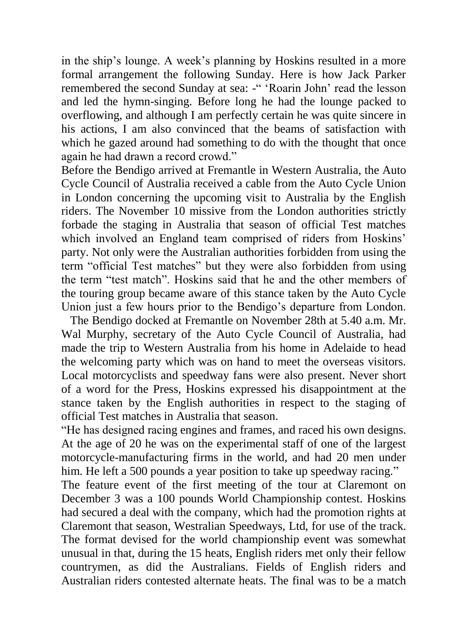in the ship's lounge. A week's planning by Hoskins resulted in a more formal arrangement the following Sunday. Here is how Jack Parker remembered the second Sunday at sea: -" 'Roarin John' read the lesson and led the hymn-singing. Before long he had the lounge packed to overflowing, and although I am perfectly certain he was quite sincere in his actions, I am also convinced that the beams of satisfaction with which he gazed around had something to do with the thought that once again he had drawn a record crowd."

Before the Bendigo arrived at Fremantle in Western Australia, the Auto Cycle Council of Australia received a cable from the Auto Cycle Union in London concerning the upcoming visit to Australia by the English riders. The November 10 missive from the London authorities strictly forbade the staging in Australia that season of official Test matches which involved an England team comprised of riders from Hoskins' party. Not only were the Australian authorities forbidden from using the term "official Test matches" but they were also forbidden from using the term "test match". Hoskins said that he and the other members of the touring group became aware of this stance taken by the Auto Cycle Union just a few hours prior to the Bendigo's departure from London.

 The Bendigo docked at Fremantle on November 28th at 5.40 a.m. Mr. Wal Murphy, secretary of the Auto Cycle Council of Australia, had made the trip to Western Australia from his home in Adelaide to head the welcoming party which was on hand to meet the overseas visitors. Local motorcyclists and speedway fans were also present. Never short of a word for the Press, Hoskins expressed his disappointment at the stance taken by the English authorities in respect to the staging of official Test matches in Australia that season.

"He has designed racing engines and frames, and raced his own designs. At the age of 20 he was on the experimental staff of one of the largest motorcycle-manufacturing firms in the world, and had 20 men under him. He left a 500 pounds a year position to take up speedway racing."

The feature event of the first meeting of the tour at Claremont on December 3 was a 100 pounds World Championship contest. Hoskins had secured a deal with the company, which had the promotion rights at Claremont that season, Westralian Speedways, Ltd, for use of the track. The format devised for the world championship event was somewhat unusual in that, during the 15 heats, English riders met only their fellow countrymen, as did the Australians. Fields of English riders and Australian riders contested alternate heats. The final was to be a match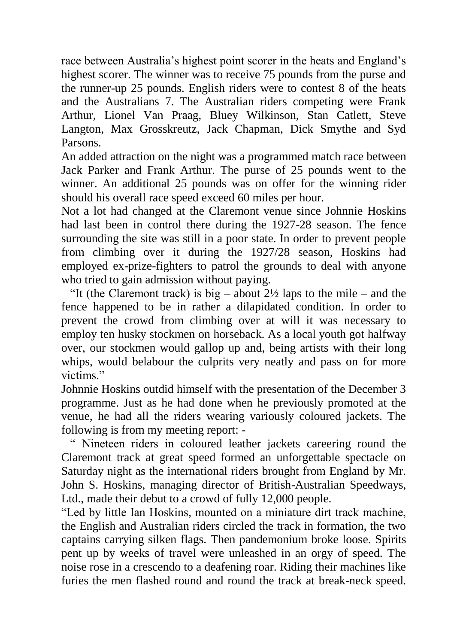race between Australia's highest point scorer in the heats and England's highest scorer. The winner was to receive 75 pounds from the purse and the runner-up 25 pounds. English riders were to contest 8 of the heats and the Australians 7. The Australian riders competing were Frank Arthur, Lionel Van Praag, Bluey Wilkinson, Stan Catlett, Steve Langton, Max Grosskreutz, Jack Chapman, Dick Smythe and Syd Parsons.

An added attraction on the night was a programmed match race between Jack Parker and Frank Arthur. The purse of 25 pounds went to the winner. An additional 25 pounds was on offer for the winning rider should his overall race speed exceed 60 miles per hour.

Not a lot had changed at the Claremont venue since Johnnie Hoskins had last been in control there during the 1927-28 season. The fence surrounding the site was still in a poor state. In order to prevent people from climbing over it during the 1927/28 season, Hoskins had employed ex-prize-fighters to patrol the grounds to deal with anyone who tried to gain admission without paying.

"It (the Claremont track) is big – about  $2\frac{1}{2}$  laps to the mile – and the fence happened to be in rather a dilapidated condition. In order to prevent the crowd from climbing over at will it was necessary to employ ten husky stockmen on horseback. As a local youth got halfway over, our stockmen would gallop up and, being artists with their long whips, would belabour the culprits very neatly and pass on for more victims."

Johnnie Hoskins outdid himself with the presentation of the December 3 programme. Just as he had done when he previously promoted at the venue, he had all the riders wearing variously coloured jackets. The following is from my meeting report: -

 " Nineteen riders in coloured leather jackets careering round the Claremont track at great speed formed an unforgettable spectacle on Saturday night as the international riders brought from England by Mr. John S. Hoskins, managing director of British-Australian Speedways, Ltd., made their debut to a crowd of fully 12,000 people.

"Led by little Ian Hoskins, mounted on a miniature dirt track machine, the English and Australian riders circled the track in formation, the two captains carrying silken flags. Then pandemonium broke loose. Spirits pent up by weeks of travel were unleashed in an orgy of speed. The noise rose in a crescendo to a deafening roar. Riding their machines like furies the men flashed round and round the track at break-neck speed.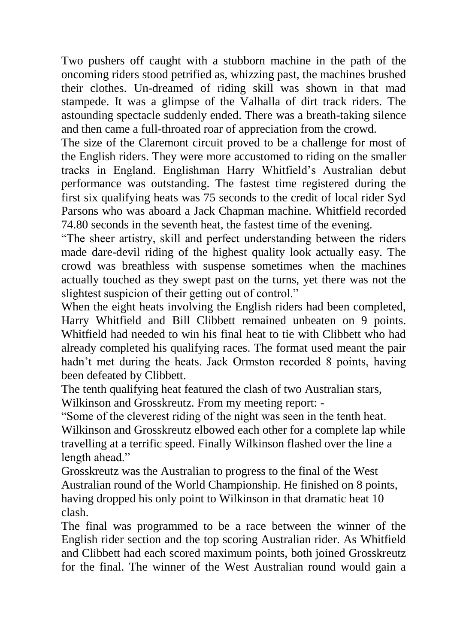Two pushers off caught with a stubborn machine in the path of the oncoming riders stood petrified as, whizzing past, the machines brushed their clothes. Un-dreamed of riding skill was shown in that mad stampede. It was a glimpse of the Valhalla of dirt track riders. The astounding spectacle suddenly ended. There was a breath-taking silence and then came a full-throated roar of appreciation from the crowd.

The size of the Claremont circuit proved to be a challenge for most of the English riders. They were more accustomed to riding on the smaller tracks in England. Englishman Harry Whitfield's Australian debut performance was outstanding. The fastest time registered during the first six qualifying heats was 75 seconds to the credit of local rider Syd Parsons who was aboard a Jack Chapman machine. Whitfield recorded 74.80 seconds in the seventh heat, the fastest time of the evening.

"The sheer artistry, skill and perfect understanding between the riders made dare-devil riding of the highest quality look actually easy. The crowd was breathless with suspense sometimes when the machines actually touched as they swept past on the turns, yet there was not the slightest suspicion of their getting out of control."

When the eight heats involving the English riders had been completed, Harry Whitfield and Bill Clibbett remained unbeaten on 9 points. Whitfield had needed to win his final heat to tie with Clibbett who had already completed his qualifying races. The format used meant the pair hadn't met during the heats. Jack Ormston recorded 8 points, having been defeated by Clibbett.

The tenth qualifying heat featured the clash of two Australian stars, Wilkinson and Grosskreutz. From my meeting report: -

"Some of the cleverest riding of the night was seen in the tenth heat. Wilkinson and Grosskreutz elbowed each other for a complete lap while travelling at a terrific speed. Finally Wilkinson flashed over the line a length ahead."

Grosskreutz was the Australian to progress to the final of the West Australian round of the World Championship. He finished on 8 points, having dropped his only point to Wilkinson in that dramatic heat 10 clash.

The final was programmed to be a race between the winner of the English rider section and the top scoring Australian rider. As Whitfield and Clibbett had each scored maximum points, both joined Grosskreutz for the final. The winner of the West Australian round would gain a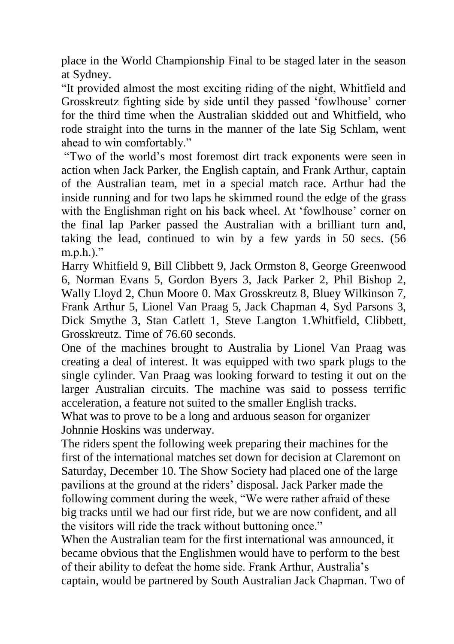place in the World Championship Final to be staged later in the season at Sydney.

"It provided almost the most exciting riding of the night, Whitfield and Grosskreutz fighting side by side until they passed 'fowlhouse' corner for the third time when the Australian skidded out and Whitfield, who rode straight into the turns in the manner of the late Sig Schlam, went ahead to win comfortably."

"Two of the world's most foremost dirt track exponents were seen in action when Jack Parker, the English captain, and Frank Arthur, captain of the Australian team, met in a special match race. Arthur had the inside running and for two laps he skimmed round the edge of the grass with the Englishman right on his back wheel. At 'fowlhouse' corner on the final lap Parker passed the Australian with a brilliant turn and, taking the lead, continued to win by a few yards in 50 secs. (56  $m.p.h.$ )."

Harry Whitfield 9, Bill Clibbett 9, Jack Ormston 8, George Greenwood 6, Norman Evans 5, Gordon Byers 3, Jack Parker 2, Phil Bishop 2, Wally Lloyd 2, Chun Moore 0. Max Grosskreutz 8, Bluey Wilkinson 7, Frank Arthur 5, Lionel Van Praag 5, Jack Chapman 4, Syd Parsons 3, Dick Smythe 3, Stan Catlett 1, Steve Langton 1.Whitfield, Clibbett, Grosskreutz. Time of 76.60 seconds.

One of the machines brought to Australia by Lionel Van Praag was creating a deal of interest. It was equipped with two spark plugs to the single cylinder. Van Praag was looking forward to testing it out on the larger Australian circuits. The machine was said to possess terrific acceleration, a feature not suited to the smaller English tracks.

What was to prove to be a long and arduous season for organizer Johnnie Hoskins was underway.

The riders spent the following week preparing their machines for the first of the international matches set down for decision at Claremont on Saturday, December 10. The Show Society had placed one of the large pavilions at the ground at the riders' disposal. Jack Parker made the following comment during the week, "We were rather afraid of these big tracks until we had our first ride, but we are now confident, and all the visitors will ride the track without buttoning once."

When the Australian team for the first international was announced, it became obvious that the Englishmen would have to perform to the best of their ability to defeat the home side. Frank Arthur, Australia's captain, would be partnered by South Australian Jack Chapman. Two of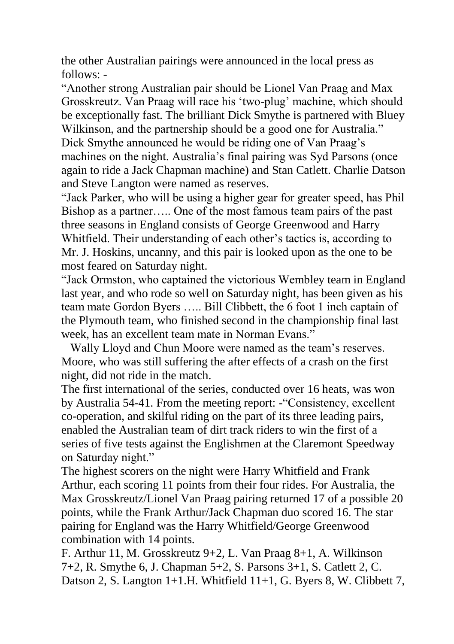the other Australian pairings were announced in the local press as follows: -

"Another strong Australian pair should be Lionel Van Praag and Max Grosskreutz. Van Praag will race his 'two-plug' machine, which should be exceptionally fast. The brilliant Dick Smythe is partnered with Bluey Wilkinson, and the partnership should be a good one for Australia." Dick Smythe announced he would be riding one of Van Praag's machines on the night. Australia's final pairing was Syd Parsons (once again to ride a Jack Chapman machine) and Stan Catlett. Charlie Datson and Steve Langton were named as reserves.

"Jack Parker, who will be using a higher gear for greater speed, has Phil Bishop as a partner….. One of the most famous team pairs of the past three seasons in England consists of George Greenwood and Harry Whitfield. Their understanding of each other's tactics is, according to Mr. J. Hoskins, uncanny, and this pair is looked upon as the one to be most feared on Saturday night.

"Jack Ormston, who captained the victorious Wembley team in England last year, and who rode so well on Saturday night, has been given as his team mate Gordon Byers ….. Bill Clibbett, the 6 foot 1 inch captain of the Plymouth team, who finished second in the championship final last week, has an excellent team mate in Norman Evans."

 Wally Lloyd and Chun Moore were named as the team's reserves. Moore, who was still suffering the after effects of a crash on the first night, did not ride in the match.

The first international of the series, conducted over 16 heats, was won by Australia 54-41. From the meeting report: -"Consistency, excellent co-operation, and skilful riding on the part of its three leading pairs, enabled the Australian team of dirt track riders to win the first of a series of five tests against the Englishmen at the Claremont Speedway on Saturday night."

The highest scorers on the night were Harry Whitfield and Frank Arthur, each scoring 11 points from their four rides. For Australia, the Max Grosskreutz/Lionel Van Praag pairing returned 17 of a possible 20 points, while the Frank Arthur/Jack Chapman duo scored 16. The star pairing for England was the Harry Whitfield/George Greenwood combination with 14 points.

F. Arthur 11, M. Grosskreutz 9+2, L. Van Praag 8+1, A. Wilkinson 7+2, R. Smythe 6, J. Chapman 5+2, S. Parsons 3+1, S. Catlett 2, C. Datson 2, S. Langton 1+1.H. Whitfield 11+1, G. Byers 8, W. Clibbett 7,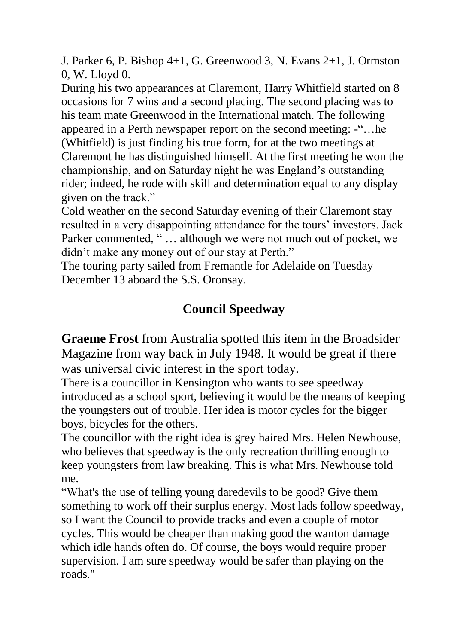J. Parker 6, P. Bishop 4+1, G. Greenwood 3, N. Evans 2+1, J. Ormston 0, W. Lloyd 0.

During his two appearances at Claremont, Harry Whitfield started on 8 occasions for 7 wins and a second placing. The second placing was to his team mate Greenwood in the International match. The following appeared in a Perth newspaper report on the second meeting: -"…he (Whitfield) is just finding his true form, for at the two meetings at Claremont he has distinguished himself. At the first meeting he won the championship, and on Saturday night he was England's outstanding rider; indeed, he rode with skill and determination equal to any display given on the track."

Cold weather on the second Saturday evening of their Claremont stay resulted in a very disappointing attendance for the tours' investors. Jack Parker commented, "... although we were not much out of pocket, we didn't make any money out of our stay at Perth."

The touring party sailed from Fremantle for Adelaide on Tuesday December 13 aboard the S.S. Oronsay.

## **Council Speedway**

**Graeme Frost** from Australia spotted this item in the Broadsider Magazine from way back in July 1948. It would be great if there was universal civic interest in the sport today.

There is a councillor in Kensington who wants to see speedway introduced as a school sport, believing it would be the means of keeping the youngsters out of trouble. Her idea is motor cycles for the bigger boys, bicycles for the others.

The councillor with the right idea is grey haired Mrs. Helen Newhouse, who believes that speedway is the only recreation thrilling enough to keep youngsters from law breaking. This is what Mrs. Newhouse told me.

"What's the use of telling young daredevils to be good? Give them something to work off their surplus energy. Most lads follow speedway, so I want the Council to provide tracks and even a couple of motor cycles. This would be cheaper than making good the wanton damage which idle hands often do. Of course, the boys would require proper supervision. I am sure speedway would be safer than playing on the roads."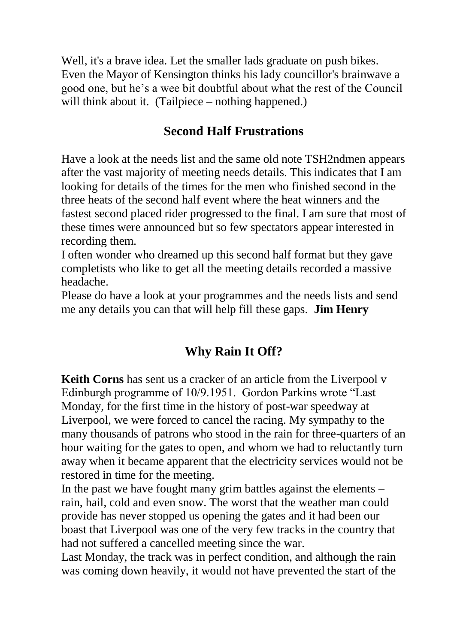Well, it's a brave idea. Let the smaller lads graduate on push bikes. Even the Mayor of Kensington thinks his lady councillor's brainwave a good one, but he's a wee bit doubtful about what the rest of the Council will think about it. (Tailpiece – nothing happened.)

### **Second Half Frustrations**

Have a look at the needs list and the same old note TSH2ndmen appears after the vast majority of meeting needs details. This indicates that I am looking for details of the times for the men who finished second in the three heats of the second half event where the heat winners and the fastest second placed rider progressed to the final. I am sure that most of these times were announced but so few spectators appear interested in recording them.

I often wonder who dreamed up this second half format but they gave completists who like to get all the meeting details recorded a massive headache.

Please do have a look at your programmes and the needs lists and send me any details you can that will help fill these gaps. **Jim Henry**

# **Why Rain It Off?**

**Keith Corns** has sent us a cracker of an article from the Liverpool v Edinburgh programme of 10/9.1951. Gordon Parkins wrote "Last Monday, for the first time in the history of post-war speedway at Liverpool, we were forced to cancel the racing. My sympathy to the many thousands of patrons who stood in the rain for three-quarters of an hour waiting for the gates to open, and whom we had to reluctantly turn away when it became apparent that the electricity services would not be restored in time for the meeting.

In the past we have fought many grim battles against the elements – rain, hail, cold and even snow. The worst that the weather man could provide has never stopped us opening the gates and it had been our boast that Liverpool was one of the very few tracks in the country that had not suffered a cancelled meeting since the war.

Last Monday, the track was in perfect condition, and although the rain was coming down heavily, it would not have prevented the start of the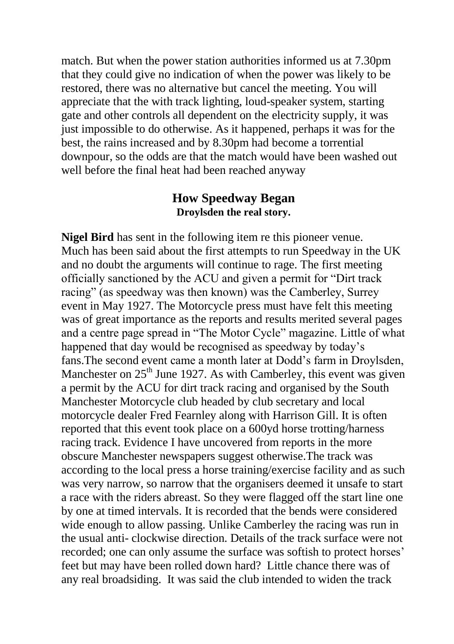match. But when the power station authorities informed us at 7.30pm that they could give no indication of when the power was likely to be restored, there was no alternative but cancel the meeting. You will appreciate that the with track lighting, loud-speaker system, starting gate and other controls all dependent on the electricity supply, it was just impossible to do otherwise. As it happened, perhaps it was for the best, the rains increased and by 8.30pm had become a torrential downpour, so the odds are that the match would have been washed out well before the final heat had been reached anyway

#### **How Speedway Began Droylsden the real story.**

**Nigel Bird** has sent in the following item re this pioneer venue. Much has been said about the first attempts to run Speedway in the UK and no doubt the arguments will continue to rage. The first meeting officially sanctioned by the ACU and given a permit for "Dirt track racing" (as speedway was then known) was the Camberley, Surrey event in May 1927. The Motorcycle press must have felt this meeting was of great importance as the reports and results merited several pages and a centre page spread in "The Motor Cycle" magazine. Little of what happened that day would be recognised as speedway by today's fans.The second event came a month later at Dodd's farm in Droylsden, Manchester on  $25<sup>th</sup>$  June 1927. As with Camberley, this event was given a permit by the ACU for dirt track racing and organised by the South Manchester Motorcycle club headed by club secretary and local motorcycle dealer Fred Fearnley along with Harrison Gill. It is often reported that this event took place on a 600yd horse trotting/harness racing track. Evidence I have uncovered from reports in the more obscure Manchester newspapers suggest otherwise.The track was according to the local press a horse training/exercise facility and as such was very narrow, so narrow that the organisers deemed it unsafe to start a race with the riders abreast. So they were flagged off the start line one by one at timed intervals. It is recorded that the bends were considered wide enough to allow passing. Unlike Camberley the racing was run in the usual anti- clockwise direction. Details of the track surface were not recorded; one can only assume the surface was softish to protect horses' feet but may have been rolled down hard? Little chance there was of any real broadsiding. It was said the club intended to widen the track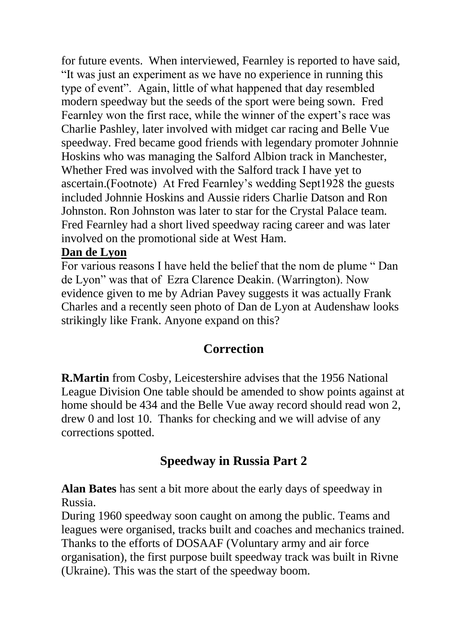for future events. When interviewed, Fearnley is reported to have said, "It was just an experiment as we have no experience in running this type of event". Again, little of what happened that day resembled modern speedway but the seeds of the sport were being sown. Fred Fearnley won the first race, while the winner of the expert's race was Charlie Pashley, later involved with midget car racing and Belle Vue speedway. Fred became good friends with legendary promoter Johnnie Hoskins who was managing the Salford Albion track in Manchester, Whether Fred was involved with the Salford track I have yet to ascertain.(Footnote) At Fred Fearnley's wedding Sept1928 the guests included Johnnie Hoskins and Aussie riders Charlie Datson and Ron Johnston. Ron Johnston was later to star for the Crystal Palace team. Fred Fearnley had a short lived speedway racing career and was later involved on the promotional side at West Ham.

#### **Dan de Lyon**

For various reasons I have held the belief that the nom de plume " Dan de Lyon" was that of Ezra Clarence Deakin. (Warrington). Now evidence given to me by Adrian Pavey suggests it was actually Frank Charles and a recently seen photo of Dan de Lyon at Audenshaw looks strikingly like Frank. Anyone expand on this?

### **Correction**

**R.Martin** from Cosby, Leicestershire advises that the 1956 National League Division One table should be amended to show points against at home should be 434 and the Belle Vue away record should read won 2, drew 0 and lost 10. Thanks for checking and we will advise of any corrections spotted.

### **Speedway in Russia Part 2**

**Alan Bates** has sent a bit more about the early days of speedway in Russia.

During 1960 speedway soon caught on among the public. Teams and leagues were organised, tracks built and coaches and mechanics trained. Thanks to the efforts of DOSAAF (Voluntary army and air force organisation), the first purpose built speedway track was built in Rivne (Ukraine). This was the start of the speedway boom.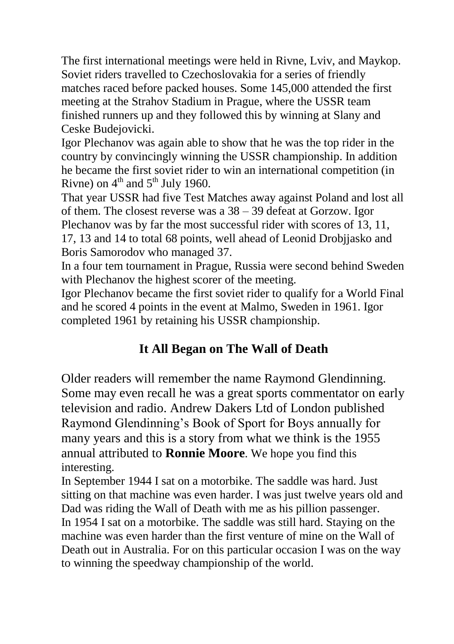The first international meetings were held in Rivne, Lviv, and Maykop. Soviet riders travelled to Czechoslovakia for a series of friendly matches raced before packed houses. Some 145,000 attended the first meeting at the Strahov Stadium in Prague, where the USSR team finished runners up and they followed this by winning at Slany and Ceske Budejovicki.

Igor Plechanov was again able to show that he was the top rider in the country by convincingly winning the USSR championship. In addition he became the first soviet rider to win an international competition (in Rivne) on  $4<sup>th</sup>$  and  $5<sup>th</sup>$  July 1960.

That year USSR had five Test Matches away against Poland and lost all of them. The closest reverse was a 38 – 39 defeat at Gorzow. Igor Plechanov was by far the most successful rider with scores of 13, 11, 17, 13 and 14 to total 68 points, well ahead of Leonid Drobjjasko and Boris Samorodov who managed 37.

In a four tem tournament in Prague, Russia were second behind Sweden with Plechanov the highest scorer of the meeting.

Igor Plechanov became the first soviet rider to qualify for a World Final and he scored 4 points in the event at Malmo, Sweden in 1961. Igor completed 1961 by retaining his USSR championship.

# **It All Began on The Wall of Death**

Older readers will remember the name Raymond Glendinning. Some may even recall he was a great sports commentator on early television and radio. Andrew Dakers Ltd of London published Raymond Glendinning's Book of Sport for Boys annually for many years and this is a story from what we think is the 1955 annual attributed to **Ronnie Moore**. We hope you find this interesting.

In September 1944 I sat on a motorbike. The saddle was hard. Just sitting on that machine was even harder. I was just twelve years old and Dad was riding the Wall of Death with me as his pillion passenger. In 1954 I sat on a motorbike. The saddle was still hard. Staying on the machine was even harder than the first venture of mine on the Wall of Death out in Australia. For on this particular occasion I was on the way to winning the speedway championship of the world.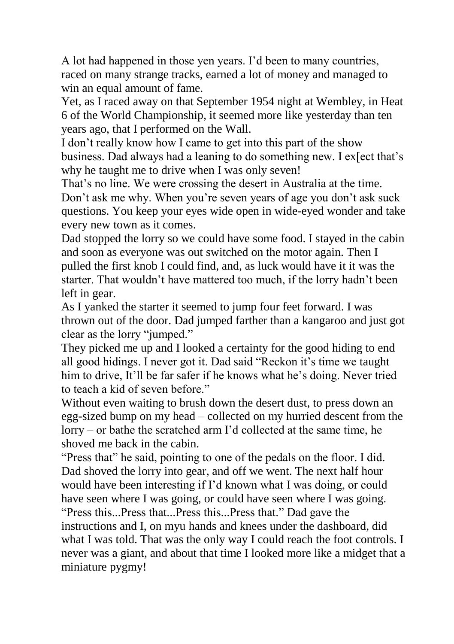A lot had happened in those yen years. I'd been to many countries, raced on many strange tracks, earned a lot of money and managed to win an equal amount of fame.

Yet, as I raced away on that September 1954 night at Wembley, in Heat 6 of the World Championship, it seemed more like yesterday than ten years ago, that I performed on the Wall.

I don't really know how I came to get into this part of the show business. Dad always had a leaning to do something new. I ex[ect that's why he taught me to drive when I was only seven!

That's no line. We were crossing the desert in Australia at the time. Don't ask me why. When you're seven years of age you don't ask suck questions. You keep your eyes wide open in wide-eyed wonder and take every new town as it comes.

Dad stopped the lorry so we could have some food. I stayed in the cabin and soon as everyone was out switched on the motor again. Then I pulled the first knob I could find, and, as luck would have it it was the starter. That wouldn't have mattered too much, if the lorry hadn't been left in gear.

As I yanked the starter it seemed to jump four feet forward. I was thrown out of the door. Dad jumped farther than a kangaroo and just got clear as the lorry "jumped."

They picked me up and I looked a certainty for the good hiding to end all good hidings. I never got it. Dad said "Reckon it's time we taught him to drive, It'll be far safer if he knows what he's doing. Never tried to teach a kid of seven before."

Without even waiting to brush down the desert dust, to press down an egg-sized bump on my head – collected on my hurried descent from the lorry – or bathe the scratched arm I'd collected at the same time, he shoved me back in the cabin.

"Press that" he said, pointing to one of the pedals on the floor. I did. Dad shoved the lorry into gear, and off we went. The next half hour would have been interesting if I'd known what I was doing, or could have seen where I was going, or could have seen where I was going. "Press this...Press that...Press this...Press that." Dad gave the instructions and I, on myu hands and knees under the dashboard, did what I was told. That was the only way I could reach the foot controls. I never was a giant, and about that time I looked more like a midget that a miniature pygmy!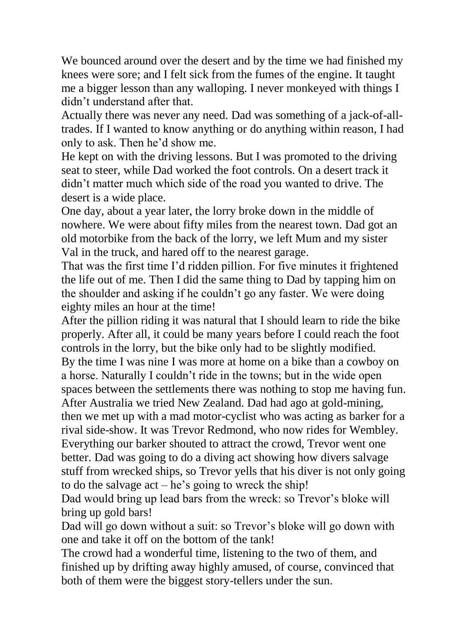We bounced around over the desert and by the time we had finished my knees were sore; and I felt sick from the fumes of the engine. It taught me a bigger lesson than any walloping. I never monkeyed with things I didn't understand after that.

Actually there was never any need. Dad was something of a jack-of-alltrades. If I wanted to know anything or do anything within reason, I had only to ask. Then he'd show me.

He kept on with the driving lessons. But I was promoted to the driving seat to steer, while Dad worked the foot controls. On a desert track it didn't matter much which side of the road you wanted to drive. The desert is a wide place.

One day, about a year later, the lorry broke down in the middle of nowhere. We were about fifty miles from the nearest town. Dad got an old motorbike from the back of the lorry, we left Mum and my sister Val in the truck, and hared off to the nearest garage.

That was the first time I'd ridden pillion. For five minutes it frightened the life out of me. Then I did the same thing to Dad by tapping him on the shoulder and asking if he couldn't go any faster. We were doing eighty miles an hour at the time!

After the pillion riding it was natural that I should learn to ride the bike properly. After all, it could be many years before I could reach the foot controls in the lorry, but the bike only had to be slightly modified. By the time I was nine I was more at home on a bike than a cowboy on a horse. Naturally I couldn't ride in the towns; but in the wide open spaces between the settlements there was nothing to stop me having fun. After Australia we tried New Zealand. Dad had ago at gold-mining, then we met up with a mad motor-cyclist who was acting as barker for a rival side-show. It was Trevor Redmond, who now rides for Wembley. Everything our barker shouted to attract the crowd, Trevor went one better. Dad was going to do a diving act showing how divers salvage stuff from wrecked ships, so Trevor yells that his diver is not only going to do the salvage act – he's going to wreck the ship!

Dad would bring up lead bars from the wreck: so Trevor's bloke will bring up gold bars!

Dad will go down without a suit: so Trevor's bloke will go down with one and take it off on the bottom of the tank!

The crowd had a wonderful time, listening to the two of them, and finished up by drifting away highly amused, of course, convinced that both of them were the biggest story-tellers under the sun.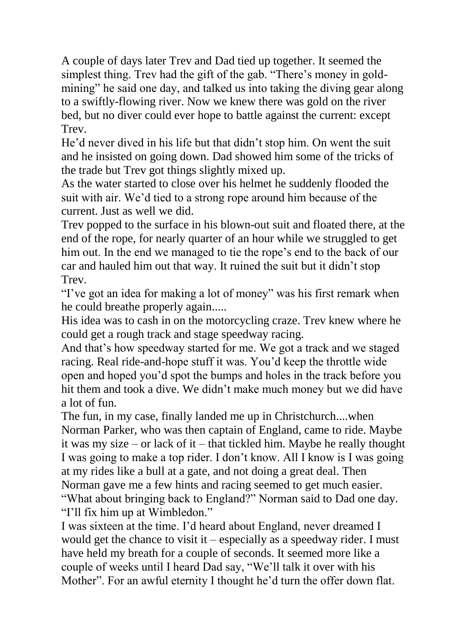A couple of days later Trev and Dad tied up together. It seemed the simplest thing. Trev had the gift of the gab. "There's money in goldmining" he said one day, and talked us into taking the diving gear along to a swiftly-flowing river. Now we knew there was gold on the river bed, but no diver could ever hope to battle against the current: except **Trev.** 

He'd never dived in his life but that didn't stop him. On went the suit and he insisted on going down. Dad showed him some of the tricks of the trade but Trev got things slightly mixed up.

As the water started to close over his helmet he suddenly flooded the suit with air. We'd tied to a strong rope around him because of the current. Just as well we did.

Trev popped to the surface in his blown-out suit and floated there, at the end of the rope, for nearly quarter of an hour while we struggled to get him out. In the end we managed to tie the rope's end to the back of our car and hauled him out that way. It ruined the suit but it didn't stop **Trev.** 

"I've got an idea for making a lot of money" was his first remark when he could breathe properly again.....

His idea was to cash in on the motorcycling craze. Trev knew where he could get a rough track and stage speedway racing.

And that's how speedway started for me. We got a track and we staged racing. Real ride-and-hope stuff it was. You'd keep the throttle wide open and hoped you'd spot the bumps and holes in the track before you hit them and took a dive. We didn't make much money but we did have a lot of fun.

The fun, in my case, finally landed me up in Christchurch....when Norman Parker, who was then captain of England, came to ride. Maybe it was my size – or lack of it – that tickled him. Maybe he really thought I was going to make a top rider. I don't know. All I know is I was going at my rides like a bull at a gate, and not doing a great deal. Then Norman gave me a few hints and racing seemed to get much easier. "What about bringing back to England?" Norman said to Dad one day. "I'll fix him up at Wimbledon."

I was sixteen at the time. I'd heard about England, never dreamed I would get the chance to visit it – especially as a speedway rider. I must have held my breath for a couple of seconds. It seemed more like a couple of weeks until I heard Dad say, "We'll talk it over with his Mother". For an awful eternity I thought he'd turn the offer down flat.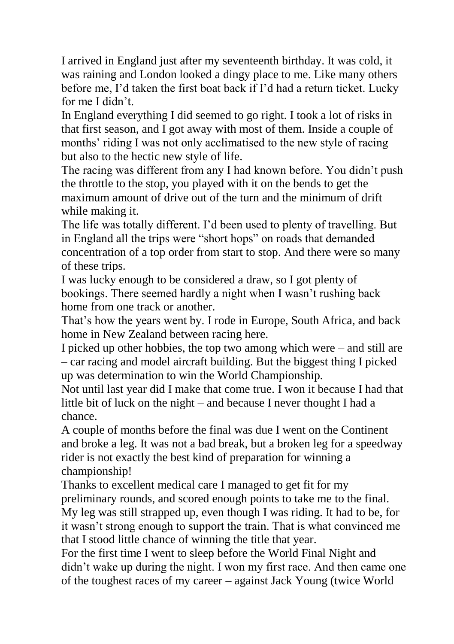I arrived in England just after my seventeenth birthday. It was cold, it was raining and London looked a dingy place to me. Like many others before me, I'd taken the first boat back if I'd had a return ticket. Lucky for me I didn't.

In England everything I did seemed to go right. I took a lot of risks in that first season, and I got away with most of them. Inside a couple of months' riding I was not only acclimatised to the new style of racing but also to the hectic new style of life.

The racing was different from any I had known before. You didn't push the throttle to the stop, you played with it on the bends to get the maximum amount of drive out of the turn and the minimum of drift while making it.

The life was totally different. I'd been used to plenty of travelling. But in England all the trips were "short hops" on roads that demanded concentration of a top order from start to stop. And there were so many of these trips.

I was lucky enough to be considered a draw, so I got plenty of bookings. There seemed hardly a night when I wasn't rushing back home from one track or another.

That's how the years went by. I rode in Europe, South Africa, and back home in New Zealand between racing here.

I picked up other hobbies, the top two among which were – and still are – car racing and model aircraft building. But the biggest thing I picked up was determination to win the World Championship.

Not until last year did I make that come true. I won it because I had that little bit of luck on the night – and because I never thought I had a chance.

A couple of months before the final was due I went on the Continent and broke a leg. It was not a bad break, but a broken leg for a speedway rider is not exactly the best kind of preparation for winning a championship!

Thanks to excellent medical care I managed to get fit for my preliminary rounds, and scored enough points to take me to the final. My leg was still strapped up, even though I was riding. It had to be, for it wasn't strong enough to support the train. That is what convinced me that I stood little chance of winning the title that year.

For the first time I went to sleep before the World Final Night and didn't wake up during the night. I won my first race. And then came one of the toughest races of my career – against Jack Young (twice World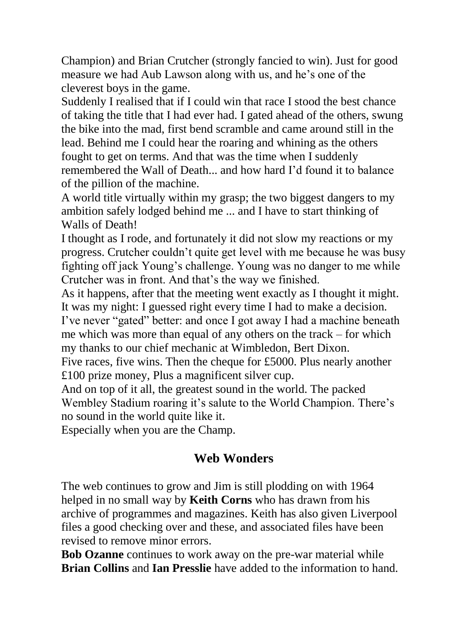Champion) and Brian Crutcher (strongly fancied to win). Just for good measure we had Aub Lawson along with us, and he's one of the cleverest boys in the game.

Suddenly I realised that if I could win that race I stood the best chance of taking the title that I had ever had. I gated ahead of the others, swung the bike into the mad, first bend scramble and came around still in the lead. Behind me I could hear the roaring and whining as the others fought to get on terms. And that was the time when I suddenly remembered the Wall of Death... and how hard I'd found it to balance of the pillion of the machine.

A world title virtually within my grasp; the two biggest dangers to my ambition safely lodged behind me ... and I have to start thinking of Walls of Death!

I thought as I rode, and fortunately it did not slow my reactions or my progress. Crutcher couldn't quite get level with me because he was busy fighting off jack Young's challenge. Young was no danger to me while Crutcher was in front. And that's the way we finished.

As it happens, after that the meeting went exactly as I thought it might. It was my night: I guessed right every time I had to make a decision. I've never "gated" better: and once I got away I had a machine beneath me which was more than equal of any others on the track – for which my thanks to our chief mechanic at Wimbledon, Bert Dixon.

Five races, five wins. Then the cheque for £5000. Plus nearly another £100 prize money, Plus a magnificent silver cup.

And on top of it all, the greatest sound in the world. The packed Wembley Stadium roaring it's salute to the World Champion. There's no sound in the world quite like it.

Especially when you are the Champ.

### **Web Wonders**

The web continues to grow and Jim is still plodding on with 1964 helped in no small way by **Keith Corns** who has drawn from his archive of programmes and magazines. Keith has also given Liverpool files a good checking over and these, and associated files have been revised to remove minor errors.

**Bob Ozanne** continues to work away on the pre-war material while **Brian Collins** and **Ian Presslie** have added to the information to hand.